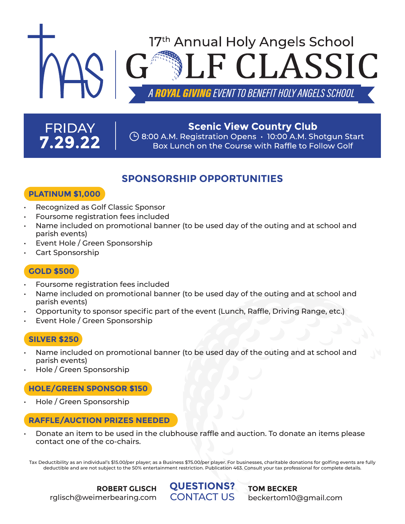# 17<sup>th</sup> Annual Holy Angels School CLASSIC **GIVING** EVENT TO BENEFIT HOLY ANGELS SCHOOL

## **FRIDAY** 7.29.22

#### **Scenic View Country Club**  $\left(\frac{1}{2}\right)$  8:00 A.M. Registration Opens  $\cdot$  10:00 A.M. Shotgun Start Box Lunch on the Course with Raffle to Follow Golf

### **SPONSORSHIP OPPORTUNITIES**

#### **PLATINUM \$1,000**

- Recognized as Golf Classic Sponsor
- Foursome registration fees included
- Name included on promotional banner (to be used day of the outing and at school and parish events)
- Event Hole / Green Sponsorship
- Cart Sponsorship

#### **GOLD \$500**

- Foursome registration fees included
- Name included on promotional banner (to be used day of the outing and at school and parish events)
- Opportunity to sponsor specific part of the event (Lunch, Raffle, Driving Range, etc.)
- Event Hole / Green Sponsorship

#### **SILVER \$250**

- Name included on promotional banner (to be used day of the outing and at school and parish events)
- Hole / Green Sponsorship

#### **HOLE/GREEN SPONSOR \$150**

• Hole / Green Sponsorship

#### **RAFFLE/AUCTION PRIZES NEEDED**

• Donate an item to be used in the clubhouse raffle and auction. To donate an items please contact one of the co-chairs.

Tax Deductibility as an individual's \$15.00/per player; as a Business \$75.00/per player. For businesses, charitable donations for golfing events are fully deductible and are not subject to the 50% entertainment restriction. Publication 463. Consult your tax professional for complete details.

> **QUESTIONS?** CONTACT US

**TOM BECKER** beckertom10@gmail.com